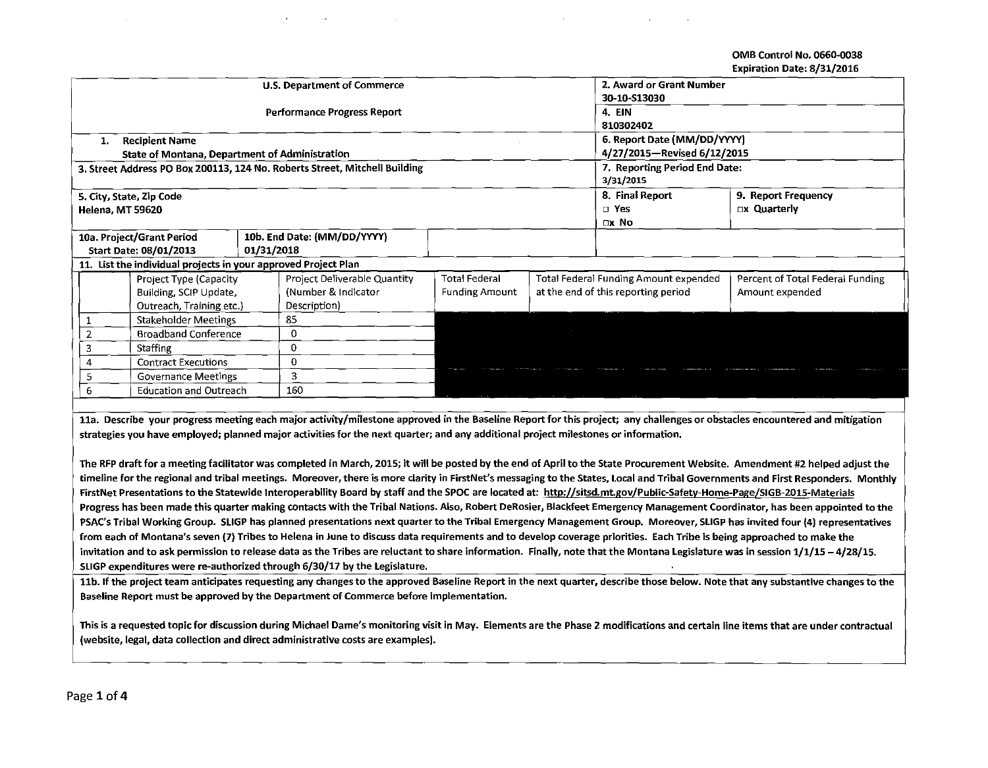OMB Control No. 0660-0038 Expiration Date: 8/31/2016

|                                                                                                                                                                                  |                                                                | U.S. Department of Commerce | 2. Award or Grant Number                                                                                                           |                                            |  |                                       |                                                                                                                                                                              |  |  |
|----------------------------------------------------------------------------------------------------------------------------------------------------------------------------------|----------------------------------------------------------------|-----------------------------|------------------------------------------------------------------------------------------------------------------------------------|--------------------------------------------|--|---------------------------------------|------------------------------------------------------------------------------------------------------------------------------------------------------------------------------|--|--|
|                                                                                                                                                                                  |                                                                |                             | 30-10-S13030                                                                                                                       |                                            |  |                                       |                                                                                                                                                                              |  |  |
|                                                                                                                                                                                  |                                                                |                             | <b>Performance Progress Report</b>                                                                                                 | 4. EIN                                     |  |                                       |                                                                                                                                                                              |  |  |
|                                                                                                                                                                                  |                                                                |                             |                                                                                                                                    | 810302402                                  |  |                                       |                                                                                                                                                                              |  |  |
| 1.                                                                                                                                                                               | <b>Recipient Name</b>                                          |                             |                                                                                                                                    | 6. Report Date (MM/DD/YYYY)                |  |                                       |                                                                                                                                                                              |  |  |
|                                                                                                                                                                                  | State of Montana, Department of Administration                 |                             |                                                                                                                                    | 4/27/2015-Revised 6/12/2015                |  |                                       |                                                                                                                                                                              |  |  |
|                                                                                                                                                                                  |                                                                |                             | 3. Street Address PO Box 200113, 124 No. Roberts Street, Mitchell Building                                                         | 7. Reporting Period End Date:<br>3/31/2015 |  |                                       |                                                                                                                                                                              |  |  |
|                                                                                                                                                                                  | 5. City, State, Zip Code                                       |                             |                                                                                                                                    |                                            |  | 8. Final Report                       | 9. Report Frequency                                                                                                                                                          |  |  |
| <b>Helena, MT 59620</b>                                                                                                                                                          |                                                                |                             |                                                                                                                                    |                                            |  | $\square$ Yes                         | □x Quarterly                                                                                                                                                                 |  |  |
|                                                                                                                                                                                  |                                                                |                             |                                                                                                                                    |                                            |  | □x No                                 |                                                                                                                                                                              |  |  |
|                                                                                                                                                                                  | 10a. Project/Grant Period                                      |                             | 10b. End Date: (MM/DD/YYYY)                                                                                                        |                                            |  |                                       |                                                                                                                                                                              |  |  |
|                                                                                                                                                                                  | Start Date: 08/01/2013                                         | 01/31/2018                  |                                                                                                                                    |                                            |  |                                       |                                                                                                                                                                              |  |  |
|                                                                                                                                                                                  | 11. List the individual projects in your approved Project Plan |                             |                                                                                                                                    |                                            |  |                                       |                                                                                                                                                                              |  |  |
|                                                                                                                                                                                  | Project Type (Capacity                                         |                             | Project Deliverable Quantity                                                                                                       | <b>Total Federal</b>                       |  | Total Federal Funding Amount expended | Percent of Total Federal Funding                                                                                                                                             |  |  |
|                                                                                                                                                                                  | Building, SCIP Update,                                         |                             | (Number & Indicator                                                                                                                | <b>Funding Amount</b>                      |  | at the end of this reporting period   | Amount expended                                                                                                                                                              |  |  |
|                                                                                                                                                                                  | Outreach, Training etc.)                                       |                             | Description)                                                                                                                       |                                            |  |                                       |                                                                                                                                                                              |  |  |
| 1                                                                                                                                                                                | <b>Stakeholder Meetings</b>                                    |                             | 85                                                                                                                                 |                                            |  |                                       |                                                                                                                                                                              |  |  |
| $\overline{2}$                                                                                                                                                                   | <b>Broadband Conference</b>                                    |                             | 0                                                                                                                                  |                                            |  |                                       |                                                                                                                                                                              |  |  |
| 3                                                                                                                                                                                | Staffing                                                       |                             | 0                                                                                                                                  |                                            |  |                                       |                                                                                                                                                                              |  |  |
| 4                                                                                                                                                                                | <b>Contract Executions</b>                                     |                             | $\overline{0}$                                                                                                                     |                                            |  |                                       |                                                                                                                                                                              |  |  |
| 5                                                                                                                                                                                | <b>Governance Meetings</b>                                     |                             | 3                                                                                                                                  |                                            |  |                                       |                                                                                                                                                                              |  |  |
| 6                                                                                                                                                                                | <b>Education and Outreach</b>                                  |                             | 160                                                                                                                                |                                            |  |                                       |                                                                                                                                                                              |  |  |
|                                                                                                                                                                                  |                                                                |                             |                                                                                                                                    |                                            |  |                                       |                                                                                                                                                                              |  |  |
|                                                                                                                                                                                  |                                                                |                             |                                                                                                                                    |                                            |  |                                       | 11a. Describe your progress meeting each major activity/milestone approved in the Baseline Report for this project; any challenges or obstacles encountered and mitigation   |  |  |
|                                                                                                                                                                                  |                                                                |                             | strategies you have employed; planned major activities for the next quarter; and any additional project milestones or information. |                                            |  |                                       |                                                                                                                                                                              |  |  |
|                                                                                                                                                                                  |                                                                |                             |                                                                                                                                    |                                            |  |                                       |                                                                                                                                                                              |  |  |
|                                                                                                                                                                                  |                                                                |                             |                                                                                                                                    |                                            |  |                                       | The RFP draft for a meeting facilitator was completed in March, 2015; it will be posted by the end of April to the State Procurement Website. Amendment #2 helped adjust the |  |  |
| timeline for the regional and tribal meetings. Moreover, there is more clarity in FirstNet's messaging to the States, Local and Tribal Governments and First Responders. Monthly |                                                                |                             |                                                                                                                                    |                                            |  |                                       |                                                                                                                                                                              |  |  |
| FirstNet Presentations to the Statewide Interoperability Board by staff and the SPOC are located at: http://sitsd.mt.gov/Public-Safety-Home-Page/SIGB-2015-Materials             |                                                                |                             |                                                                                                                                    |                                            |  |                                       |                                                                                                                                                                              |  |  |
| Progress has been made this quarter making contacts with the Tribal Nations. Also, Robert DeRosier, Blackfeet Emergency Management Coordinator, has been appointed to the        |                                                                |                             |                                                                                                                                    |                                            |  |                                       |                                                                                                                                                                              |  |  |
| PSAC's Tribal Working Group. SLIGP has planned presentations next quarter to the Tribal Emergency Management Group. Moreover, SLIGP has invited four (4) representatives         |                                                                |                             |                                                                                                                                    |                                            |  |                                       |                                                                                                                                                                              |  |  |
| from each of Montana's seven (7) Tribes to Helena in June to discuss data requirements and to develop coverage priorities. Each Tribe is being approached to make the            |                                                                |                             |                                                                                                                                    |                                            |  |                                       |                                                                                                                                                                              |  |  |
| invitation and to ask permission to release data as the Tribes are reluctant to share information. Finally, note that the Montana Legislature was in session 1/1/15 - 4/28/15.   |                                                                |                             |                                                                                                                                    |                                            |  |                                       |                                                                                                                                                                              |  |  |
| SLIGP expenditures were re-authorized through 6/30/17 by the Legislature.                                                                                                        |                                                                |                             |                                                                                                                                    |                                            |  |                                       |                                                                                                                                                                              |  |  |
| 11b. If the project team anticipates requesting any changes to the approved Baseline Report in the next quarter, describe those below. Note that any substantive changes to the  |                                                                |                             |                                                                                                                                    |                                            |  |                                       |                                                                                                                                                                              |  |  |
| Baseline Report must be approved by the Department of Commerce before implementation.                                                                                            |                                                                |                             |                                                                                                                                    |                                            |  |                                       |                                                                                                                                                                              |  |  |
|                                                                                                                                                                                  |                                                                |                             |                                                                                                                                    |                                            |  |                                       |                                                                                                                                                                              |  |  |

 $\alpha$ 

 $\sim$ 

 $\sim$ 

This is a requested topic for discussion during Michael Dame's monitoring visit in May. Elements are the Phase 2 modifications and certain line items that are under contractual (website, legal, data collection and direct administrative costs are examples).

 $\sim$ 

 $\sim 40$ 

 $\sim 10^{11}$  and

 $\sim 10^{11}$  km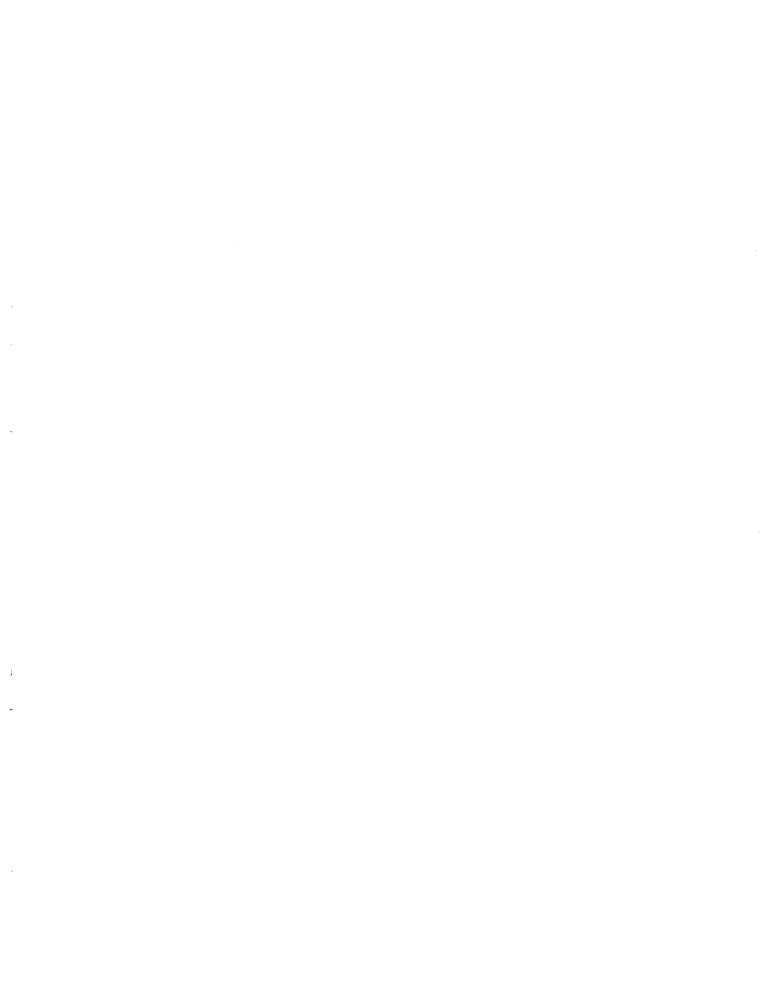$\hat{\mathcal{A}}$  $\mathcal{L}_{\text{max}}$  $\frac{1}{2}$  $\frac{1}{2} \sum_{i=1}^{n} \frac{1}{2} \sum_{j=1}^{n} \frac{1}{2} \sum_{j=1}^{n} \frac{1}{2} \sum_{j=1}^{n} \frac{1}{2} \sum_{j=1}^{n} \frac{1}{2} \sum_{j=1}^{n} \frac{1}{2} \sum_{j=1}^{n} \frac{1}{2} \sum_{j=1}^{n} \frac{1}{2} \sum_{j=1}^{n} \frac{1}{2} \sum_{j=1}^{n} \frac{1}{2} \sum_{j=1}^{n} \frac{1}{2} \sum_{j=1}^{n} \frac{1}{2} \sum_{j=1}^{n$  $\frac{1}{4}$  .  $\frac{1}{\sqrt{2}}$  $\mathcal{L}_{\text{max}}$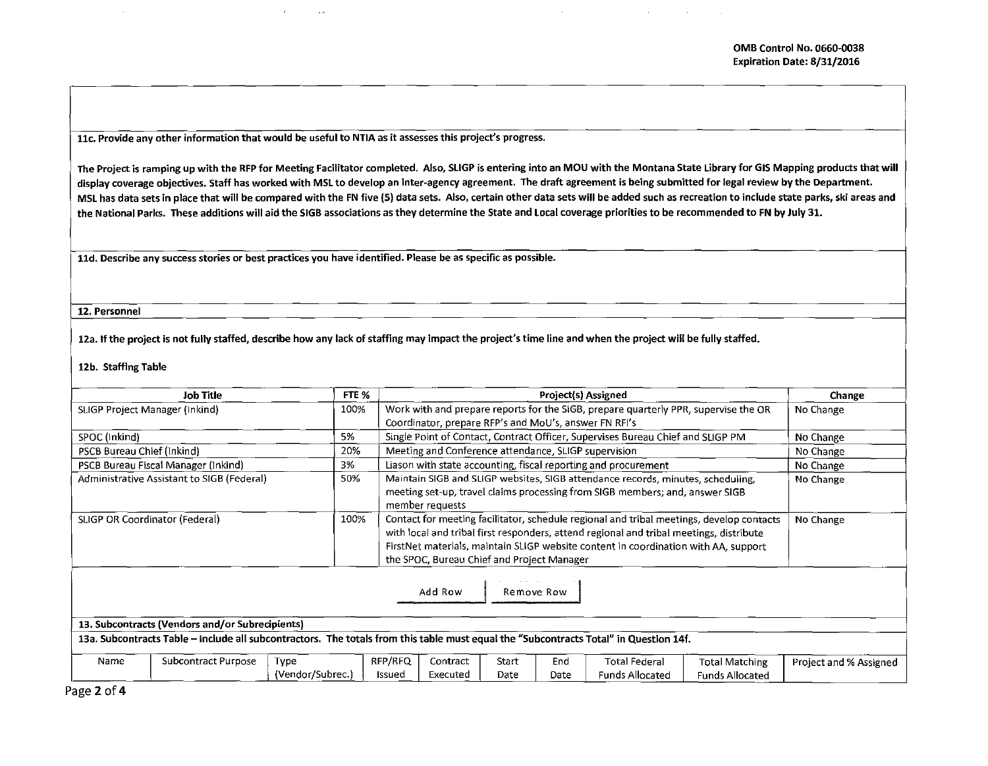$\sim$ 

llc. Provide any other information that would be useful to NTIA as it assesses this project's progress.

 $\sim$   $\sim$ 

 $\mathbf{r}$ 

The Project is ramping up with the RFP for Meeting Facilitator completed. Also, SLIGP is entering into an MOU with the Montana State Library for GIS Mapping products that will display coverage objectives. Staff has worked with MSL to develop an inter~agency agreement. The draft agreement is being submitted for legal review by the Department. MSL has data sets in place that will be compared with the FN five (5) data sets. Also, certain other data sets will be added such as recreation to include state parks, ski areas and the National Parks. These additions will aid the 51GB associations as they determine the State and Local coverage priorities to be recommended to FN by July 31.

11d. Describe any success stories or best practices you have identified. Please be as specific as possible.

12. Personnel

12a. If the project is not fully staffed, describe how any lack of staffing may impact the project's time line and when the project will be fully staffed.

12b. Staffing Table

 $\alpha$ 

| <b>FTE</b> %<br><b>Job Title</b>                                                                                                      |                                            |                  |                                                                                 |                                                                                                                                                                                                                                                                                                                                       | Change    |      |                        |                        |                        |  |
|---------------------------------------------------------------------------------------------------------------------------------------|--------------------------------------------|------------------|---------------------------------------------------------------------------------|---------------------------------------------------------------------------------------------------------------------------------------------------------------------------------------------------------------------------------------------------------------------------------------------------------------------------------------|-----------|------|------------------------|------------------------|------------------------|--|
| SLIGP Project Manager (Inkind)                                                                                                        |                                            |                  |                                                                                 | Work with and prepare reports for the SIGB, prepare quarterly PPR, supervise the OR                                                                                                                                                                                                                                                   | No Change |      |                        |                        |                        |  |
|                                                                                                                                       |                                            |                  |                                                                                 | Coordinator, prepare RFP's and MoU's, answer FN RFI's                                                                                                                                                                                                                                                                                 |           |      |                        |                        |                        |  |
| SPOC (Inkind)                                                                                                                         | 5%                                         |                  | Single Point of Contact, Contract Officer, Supervises Bureau Chief and SLIGP PM | No Change                                                                                                                                                                                                                                                                                                                             |           |      |                        |                        |                        |  |
| PSCB Bureau Chief (Inkind)                                                                                                            | 20%                                        |                  | Meeting and Conference attendance, SLIGP supervision                            | No Change                                                                                                                                                                                                                                                                                                                             |           |      |                        |                        |                        |  |
| PSCB Bureau Fiscal Manager (Inkind)                                                                                                   | $3\%$                                      |                  | Liason with state accounting, fiscal reporting and procurement                  | No Change                                                                                                                                                                                                                                                                                                                             |           |      |                        |                        |                        |  |
|                                                                                                                                       | Administrative Assistant to SIGB (Federal) | 50%              |                                                                                 | Maintain SIGB and SLIGP websites, SIGB attendance records, minutes, scheduling,<br>meeting set-up, travel claims processing from SIGB members; and, answer SIGB<br>member requests                                                                                                                                                    | No Change |      |                        |                        |                        |  |
| SLIGP OR Coordinator (Federal)                                                                                                        |                                            | 100%             |                                                                                 | Contact for meeting facilitator, schedule regional and tribal meetings, develop contacts<br>No Change<br>with local and tribal first responders, attend regional and tribal meetings, distribute<br>FirstNet materials, maintain SLIGP website content in coordination with AA, support<br>the SPOC, Bureau Chief and Project Manager |           |      |                        |                        |                        |  |
| Add Row<br>Remove Row                                                                                                                 |                                            |                  |                                                                                 |                                                                                                                                                                                                                                                                                                                                       |           |      |                        |                        |                        |  |
| 13. Subcontracts (Vendors and/or Subrecipients)                                                                                       |                                            |                  |                                                                                 |                                                                                                                                                                                                                                                                                                                                       |           |      |                        |                        |                        |  |
| 13a. Subcontracts Table - include all subcontractors. The totals from this table must equal the "Subcontracts Total" in Question 14f. |                                            |                  |                                                                                 |                                                                                                                                                                                                                                                                                                                                       |           |      |                        |                        |                        |  |
| Name                                                                                                                                  | Subcontract Purpose                        | <b>Type</b>      | RFP/RFQ                                                                         | Contract                                                                                                                                                                                                                                                                                                                              | Start     | End  | Total Federal          | <b>Total Matching</b>  | Project and % Assigned |  |
|                                                                                                                                       |                                            | (Vendor/Subrec.) | Issued                                                                          | Executed                                                                                                                                                                                                                                                                                                                              | Date      | Date | <b>Funds Allocated</b> | <b>Funds Allocated</b> |                        |  |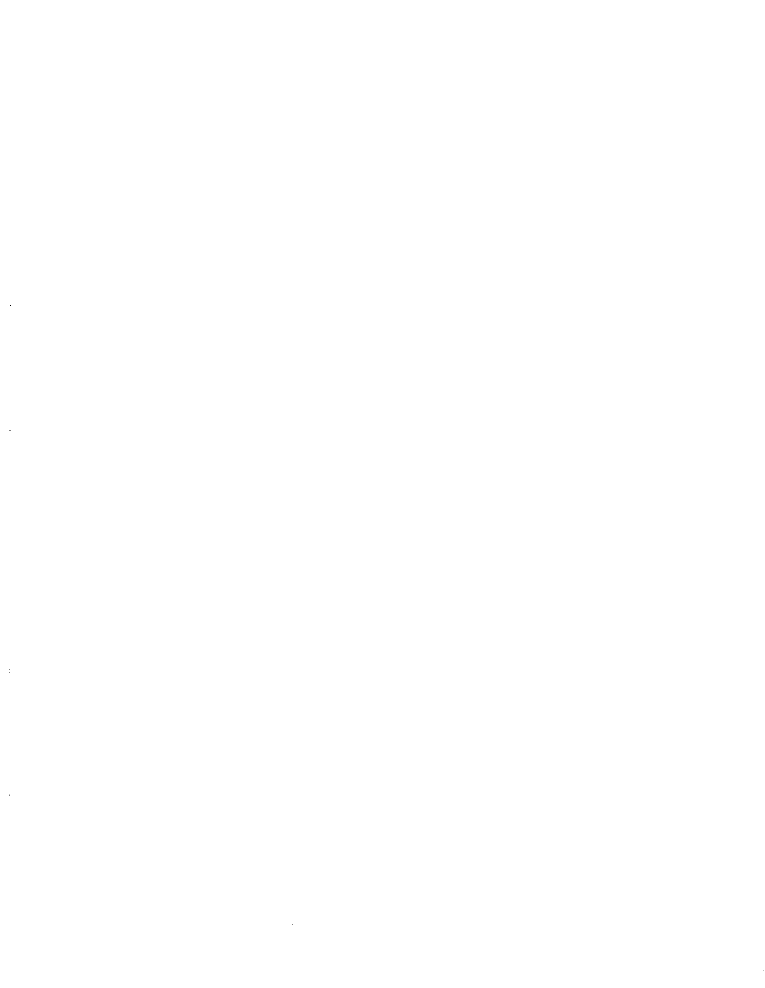$\label{eq:2.1} \frac{1}{\sqrt{2}}\int_{\mathbb{R}^3}\frac{1}{\sqrt{2}}\left(\frac{1}{\sqrt{2}}\right)^2\frac{1}{\sqrt{2}}\left(\frac{1}{\sqrt{2}}\right)^2\frac{1}{\sqrt{2}}\left(\frac{1}{\sqrt{2}}\right)^2.$  $\mathcal{L}_{\text{max}}$  and  $\mathcal{L}_{\text{max}}$  $\frac{1}{2}$  .  $\frac{1}{\sqrt{2}}$  $\label{eq:2.1} \mathcal{A} = \mathcal{A} \times \mathcal{A} \times \mathcal{A}$ 

 $\label{eq:2.1} \mathcal{L}(\mathcal{L}^{\text{max}}_{\mathcal{L}}(\mathcal{L}^{\text{max}}_{\mathcal{L}}(\mathcal{L}^{\text{max}}_{\mathcal{L}}(\mathcal{L}^{\text{max}}_{\mathcal{L}^{\text{max}}_{\mathcal{L}}(\mathcal{L}^{\text{max}}_{\mathcal{L}^{\text{max}}_{\mathcal{L}^{\text{max}}_{\mathcal{L}^{\text{max}}_{\mathcal{L}^{\text{max}}_{\mathcal{L}^{\text{max}}_{\mathcal{L}^{\text{max}}_{\mathcal{L}^{\text{max}}_{\mathcal{L}^{\text{max}}$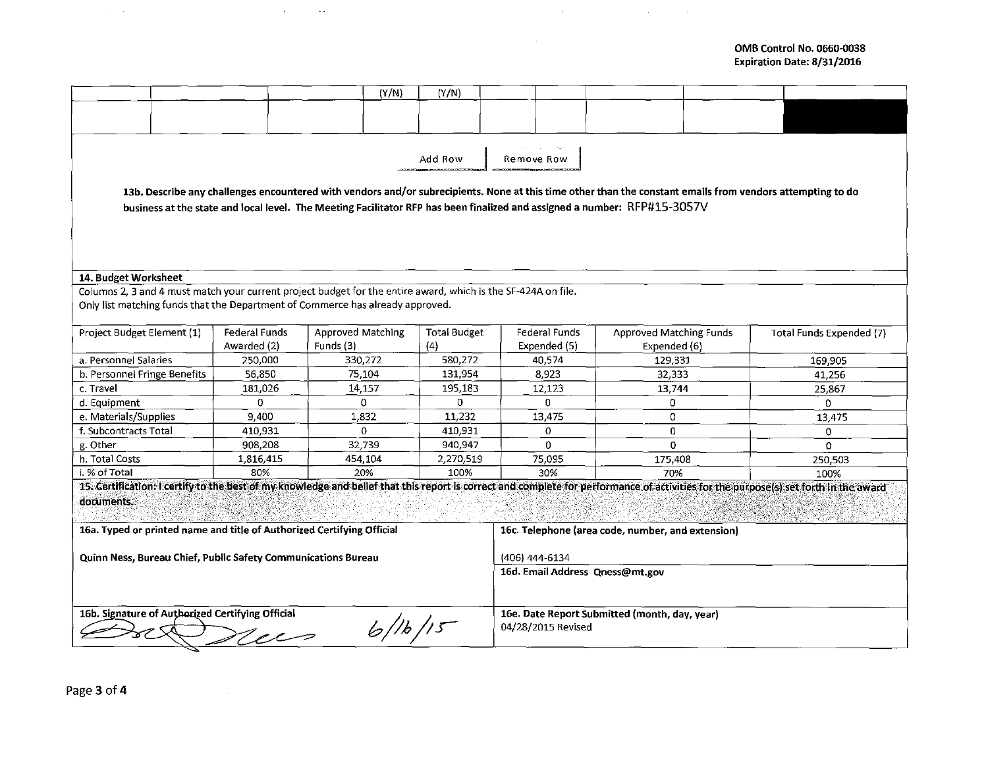|                                                                                                                                                            |  |               |                   | (Y/N)  | (Y/N)               |            |                                               |                                                   |  |                                                                                                                                                                                      |  |  |
|------------------------------------------------------------------------------------------------------------------------------------------------------------|--|---------------|-------------------|--------|---------------------|------------|-----------------------------------------------|---------------------------------------------------|--|--------------------------------------------------------------------------------------------------------------------------------------------------------------------------------------|--|--|
|                                                                                                                                                            |  |               |                   |        |                     |            |                                               |                                                   |  |                                                                                                                                                                                      |  |  |
|                                                                                                                                                            |  |               |                   |        |                     |            |                                               |                                                   |  |                                                                                                                                                                                      |  |  |
|                                                                                                                                                            |  |               |                   |        |                     |            |                                               |                                                   |  |                                                                                                                                                                                      |  |  |
| Add Row                                                                                                                                                    |  |               |                   |        |                     |            |                                               |                                                   |  |                                                                                                                                                                                      |  |  |
|                                                                                                                                                            |  |               |                   |        |                     | Remove Row |                                               |                                                   |  |                                                                                                                                                                                      |  |  |
|                                                                                                                                                            |  |               |                   |        |                     |            |                                               |                                                   |  |                                                                                                                                                                                      |  |  |
| 13b. Describe any challenges encountered with vendors and/or subrecipients. None at this time other than the constant emails from vendors attempting to do |  |               |                   |        |                     |            |                                               |                                                   |  |                                                                                                                                                                                      |  |  |
| business at the state and local level. The Meeting Facilitator RFP has been finalized and assigned a number: RFP#15-3057V                                  |  |               |                   |        |                     |            |                                               |                                                   |  |                                                                                                                                                                                      |  |  |
|                                                                                                                                                            |  |               |                   |        |                     |            |                                               |                                                   |  |                                                                                                                                                                                      |  |  |
|                                                                                                                                                            |  |               |                   |        |                     |            |                                               |                                                   |  |                                                                                                                                                                                      |  |  |
|                                                                                                                                                            |  |               |                   |        |                     |            |                                               |                                                   |  |                                                                                                                                                                                      |  |  |
|                                                                                                                                                            |  |               |                   |        |                     |            |                                               |                                                   |  |                                                                                                                                                                                      |  |  |
| 14. Budget Worksheet<br>Columns 2, 3 and 4 must match your current project budget for the entire award, which is the SF-424A on file.                      |  |               |                   |        |                     |            |                                               |                                                   |  |                                                                                                                                                                                      |  |  |
| Only list matching funds that the Department of Commerce has already approved.                                                                             |  |               |                   |        |                     |            |                                               |                                                   |  |                                                                                                                                                                                      |  |  |
|                                                                                                                                                            |  |               |                   |        |                     |            |                                               |                                                   |  |                                                                                                                                                                                      |  |  |
| Project Budget Element (1)                                                                                                                                 |  | Federal Funds | Approved Matching |        | <b>Total Budget</b> |            | <b>Federal Funds</b>                          | Approved Matching Funds                           |  | Total Funds Expended (7)                                                                                                                                                             |  |  |
|                                                                                                                                                            |  | Awarded (2)   | Funds (3)         |        | (4)                 |            | Expended (5)                                  | Expended (6)                                      |  |                                                                                                                                                                                      |  |  |
| a. Personnel Salaries                                                                                                                                      |  | 250,000       | 330,272           |        | 580.272             |            | 40,574                                        | 129,331                                           |  | 169,905                                                                                                                                                                              |  |  |
| b. Personnel Fringe Benefits                                                                                                                               |  | 56.850        |                   | 75,104 | 131.954             |            | 8,923                                         | 32,333                                            |  | 41,256                                                                                                                                                                               |  |  |
| c. Travel                                                                                                                                                  |  | 181,026       | 14,157            |        | 195,183             |            | 12,123                                        | 13,744                                            |  | 25,867                                                                                                                                                                               |  |  |
| d. Equipment                                                                                                                                               |  | 0             |                   | 0      | $\Omega$            |            | $\Omega$                                      | $\Omega$                                          |  | $\Omega$                                                                                                                                                                             |  |  |
| e. Materials/Supplies                                                                                                                                      |  | 9,400         |                   | 1.832  | 11,232              |            | 13,475                                        | $\Omega$                                          |  | 13,475                                                                                                                                                                               |  |  |
| f. Subcontracts Total                                                                                                                                      |  | 410,931       |                   | 0      | 410,931             |            | 0                                             | $\Omega$                                          |  | $\mathbf 0$                                                                                                                                                                          |  |  |
| g. Other                                                                                                                                                   |  | 908,208       | 32 739            |        | 940.947             |            | $\Omega$                                      | $\Omega$                                          |  | $\Omega$                                                                                                                                                                             |  |  |
| h. Total Costs                                                                                                                                             |  | 1,816,415     | 454,104           |        | 2,270,519           |            | 75,095                                        | 175.408                                           |  | 250,503                                                                                                                                                                              |  |  |
| i. % of Total                                                                                                                                              |  | 80%           | 20%               |        | 100%                |            | 30%                                           | 70%                                               |  | 100%                                                                                                                                                                                 |  |  |
|                                                                                                                                                            |  |               |                   |        |                     |            |                                               |                                                   |  | 15. Certification: I certify to the best of my knowledge and belief that this report is correct and complete for performance of activities for the purpose(s) set forth in the award |  |  |
| documents.                                                                                                                                                 |  |               |                   |        |                     |            |                                               |                                                   |  |                                                                                                                                                                                      |  |  |
|                                                                                                                                                            |  |               |                   |        |                     |            |                                               |                                                   |  |                                                                                                                                                                                      |  |  |
| 16a. Typed or printed name and title of Authorized Certifying Official                                                                                     |  |               |                   |        |                     |            |                                               | 16c. Telephone (area code, number, and extension) |  |                                                                                                                                                                                      |  |  |
|                                                                                                                                                            |  |               |                   |        |                     |            |                                               |                                                   |  |                                                                                                                                                                                      |  |  |
| Quinn Ness, Bureau Chief, Public Safety Communications Bureau                                                                                              |  |               |                   |        |                     |            | (406) 444-6134                                |                                                   |  |                                                                                                                                                                                      |  |  |
|                                                                                                                                                            |  |               |                   |        |                     |            | 16d. Email Address Qness@mt.gov               |                                                   |  |                                                                                                                                                                                      |  |  |
|                                                                                                                                                            |  |               |                   |        |                     |            |                                               |                                                   |  |                                                                                                                                                                                      |  |  |
|                                                                                                                                                            |  |               |                   |        |                     |            |                                               |                                                   |  |                                                                                                                                                                                      |  |  |
| 16b. Signature of Authorized Certifying Official                                                                                                           |  |               |                   |        |                     |            | 16e. Date Report Submitted (month, day, year) |                                                   |  |                                                                                                                                                                                      |  |  |
| 6/16/15<br>04/28/2015 Revised<br>tees                                                                                                                      |  |               |                   |        |                     |            |                                               |                                                   |  |                                                                                                                                                                                      |  |  |
|                                                                                                                                                            |  |               |                   |        |                     |            |                                               |                                                   |  |                                                                                                                                                                                      |  |  |

 $\mathcal{L}^{\mathcal{L}}(\mathcal{L}^{\mathcal{L}})$  and the contribution of the contribution of  $\mathcal{L}^{\mathcal{L}}$ 

 $\sim 10^{-1}$ 

 $\sim 10^{11}$  km s  $^{-1}$ 

 $\mathcal{A}^{\text{max}}_{\text{max}}$  and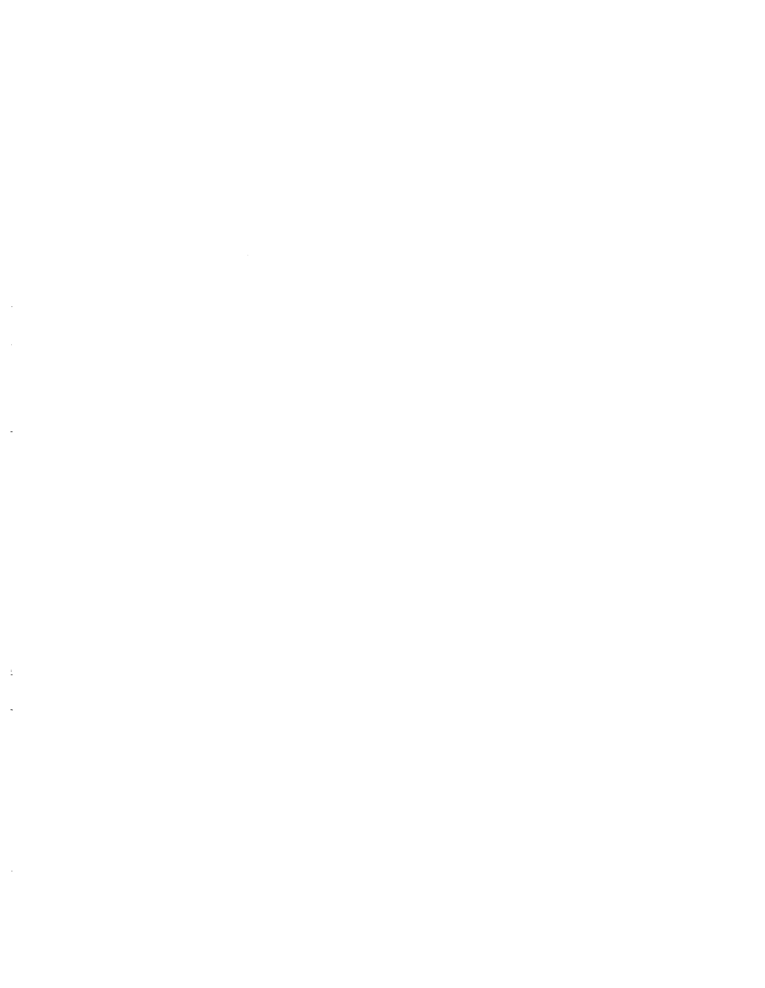$\frac{1}{2}$  .  $\label{eq:2.1} \frac{1}{\sqrt{2\pi}}\int_{0}^{\pi} \frac{1}{\sqrt{2\pi}}\left(\frac{1}{\sqrt{2\pi}}\right)^{2}d\mu$  $\frac{1}{2} \left( \frac{1}{2} \right)$  $\frac{1}{2}$  .  $\frac{1}{2}$  $\mathcal{L}_{\text{max}}$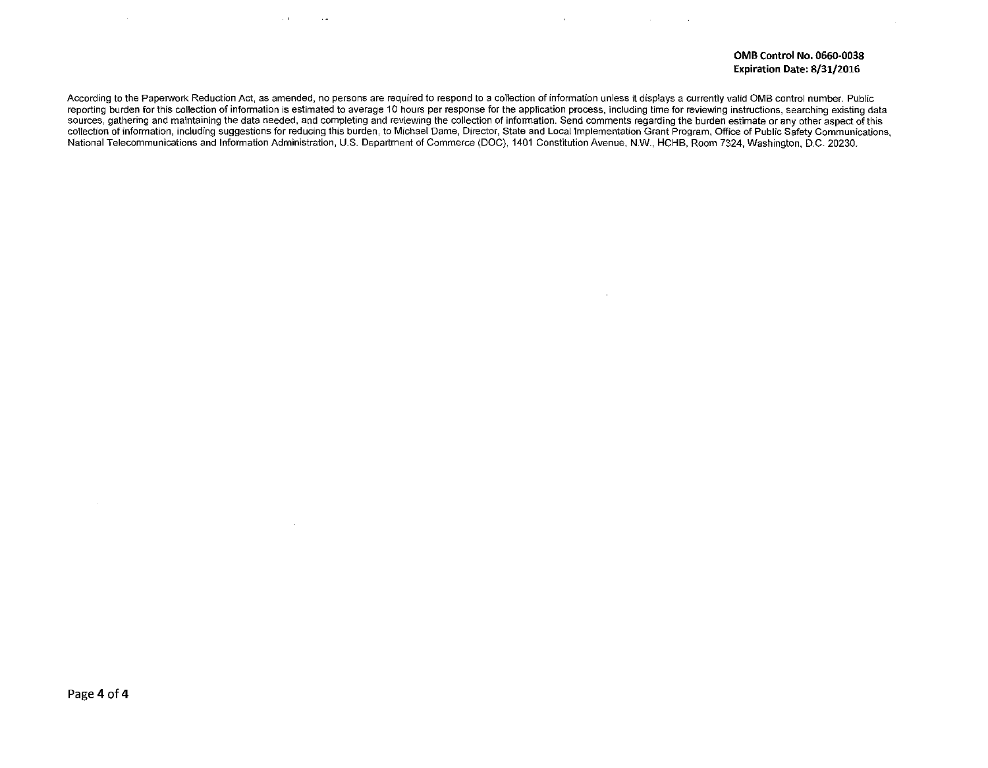## OMB Control No. 0660·0038 Expiration Date: 8/31/2016

According to the Paperwork Reduction Act, as amended, no persons are required to respond to a collection of information unless it displays a currently valid OMB control number. Public reporting burden for this collection of information is estimated to average 10 hours per response for the application process, including time for reviewing instructions, searching existing data sources, gathering and maintaining the data needed, and completing and reviewing the collection of information. Send comments regarding the burden estimate or any other aspect of this collection of information, including suggestions for reducing this burden, to Michael Dame, Director, State and Local Implementation Grant Program, Office of Public Safety Communications, National Telecommunications and Information Administration, U.S. Department of Commerce (DOC), 1401 Constitution Avenue, N.W., HCHB, Room 7324, Washington, D.C. 20230.

 $\mathcal{L}_{\mathrm{eff}}$ 

 $\sim$ 

 $\mathcal{L}_{\mathcal{A}}$ 

**College** 

**Collection**